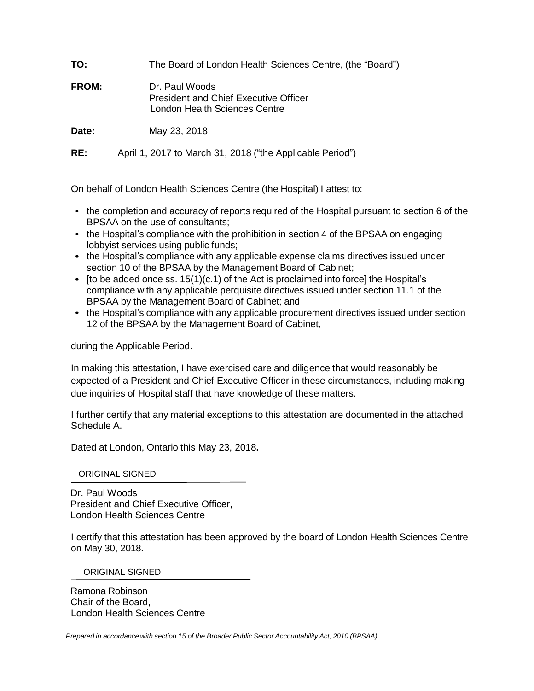| TO:          | The Board of London Health Sciences Centre, (the "Board")                                       |
|--------------|-------------------------------------------------------------------------------------------------|
| <b>FROM:</b> | Dr. Paul Woods<br><b>President and Chief Executive Officer</b><br>London Health Sciences Centre |
| Date:        | May 23, 2018                                                                                    |
| RE:          | April 1, 2017 to March 31, 2018 ("the Applicable Period")                                       |

On behalf of London Health Sciences Centre (the Hospital) I attest to:

- the completion and accuracy of reports required of the Hospital pursuant to section 6 of the BPSAA on the use of consultants;
- the Hospital's compliance with the prohibition in section 4 of the BPSAA on engaging lobbyist services using public funds;
- the Hospital's compliance with any applicable expense claims directives issued under section 10 of the BPSAA by the Management Board of Cabinet;
- [to be added once ss.  $15(1)(c.1)$  of the Act is proclaimed into force] the Hospital's compliance with any applicable perquisite directives issued under section 11.1 of the BPSAA by the Management Board of Cabinet; and
- the Hospital's compliance with any applicable procurement directives issued under section 12 of the BPSAA by the Management Board of Cabinet,

during the Applicable Period.

In making this attestation, I have exercised care and diligence that would reasonably be expected of a President and Chief Executive Officer in these circumstances, including making due inquiries of Hospital staff that have knowledge of these matters.

I further certify that any material exceptions to this attestation are documented in the attached Schedule A.

Dated at London, Ontario this May 23, 2018**.**

ORIGINAL SIGNED

Dr. Paul Woods President and Chief Executive Officer, London Health Sciences Centre

I certify that this attestation has been approved by the board of London Health Sciences Centre on May 30, 2018**.**

ORIGINAL SIGNED

Ramona Robinson Chair of the Board, London Health Sciences Centre

*Prepared in accordance with section 15 of the Broader Public Sector Accountability Act, 2010 (BPSAA)*